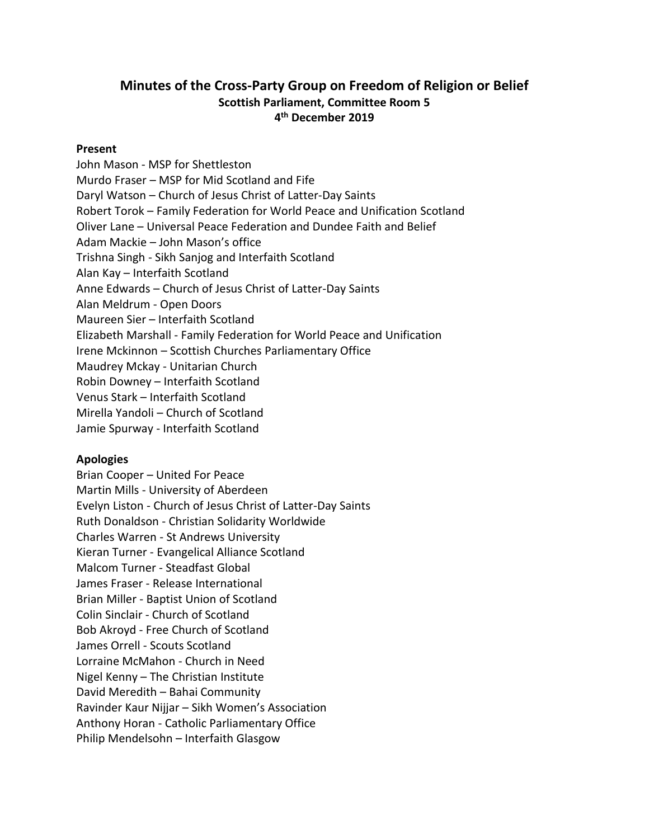# **Minutes of the Cross-Party Group on Freedom of Religion or Belief Scottish Parliament, Committee Room 5 4 th December 2019**

#### **Present**

John Mason - MSP for Shettleston Murdo Fraser – MSP for Mid Scotland and Fife Daryl Watson – Church of Jesus Christ of Latter-Day Saints Robert Torok – Family Federation for World Peace and Unification Scotland Oliver Lane – Universal Peace Federation and Dundee Faith and Belief Adam Mackie – John Mason's office Trishna Singh - Sikh Sanjog and Interfaith Scotland Alan Kay – Interfaith Scotland Anne Edwards – Church of Jesus Christ of Latter-Day Saints Alan Meldrum - Open Doors Maureen Sier – Interfaith Scotland Elizabeth Marshall - Family Federation for World Peace and Unification Irene Mckinnon – Scottish Churches Parliamentary Office Maudrey Mckay - Unitarian Church Robin Downey – Interfaith Scotland Venus Stark – Interfaith Scotland Mirella Yandoli – Church of Scotland Jamie Spurway - Interfaith Scotland

#### **Apologies**

Brian Cooper – United For Peace Martin Mills - University of Aberdeen Evelyn Liston - Church of Jesus Christ of Latter-Day Saints Ruth Donaldson - Christian Solidarity Worldwide Charles Warren - St Andrews University Kieran Turner - Evangelical Alliance Scotland Malcom Turner - Steadfast Global James Fraser - Release International Brian Miller - Baptist Union of Scotland Colin Sinclair - Church of Scotland Bob Akroyd - Free Church of Scotland James Orrell - Scouts Scotland Lorraine McMahon - Church in Need Nigel Kenny – The Christian Institute David Meredith – Bahai Community Ravinder Kaur Nijjar – Sikh Women's Association Anthony Horan - Catholic Parliamentary Office Philip Mendelsohn – Interfaith Glasgow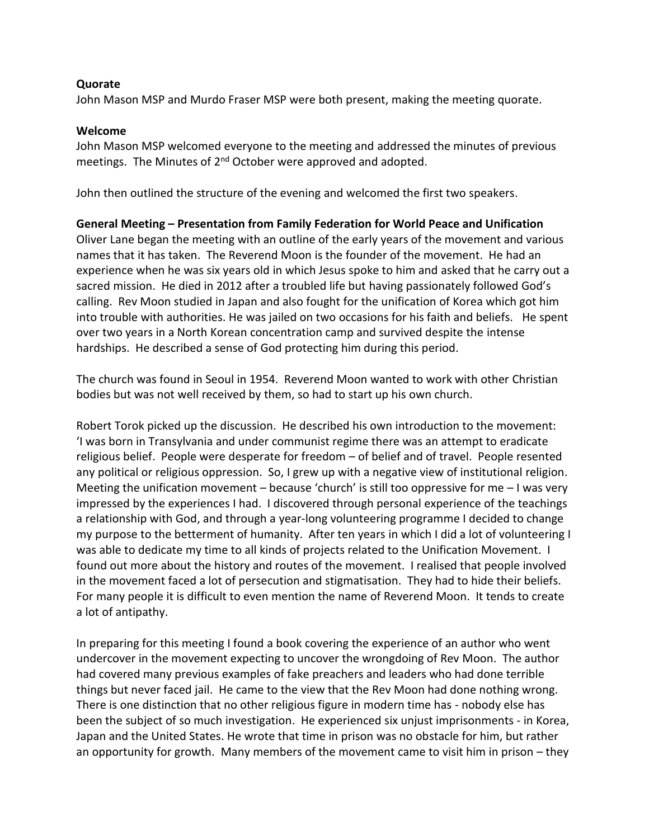#### **Quorate**

John Mason MSP and Murdo Fraser MSP were both present, making the meeting quorate.

#### **Welcome**

John Mason MSP welcomed everyone to the meeting and addressed the minutes of previous meetings. The Minutes of  $2<sup>nd</sup>$  October were approved and adopted.

John then outlined the structure of the evening and welcomed the first two speakers.

### **General Meeting – Presentation from Family Federation for World Peace and Unification**

Oliver Lane began the meeting with an outline of the early years of the movement and various names that it has taken. The Reverend Moon is the founder of the movement. He had an experience when he was six years old in which Jesus spoke to him and asked that he carry out a sacred mission. He died in 2012 after a troubled life but having passionately followed God's calling. Rev Moon studied in Japan and also fought for the unification of Korea which got him into trouble with authorities. He was jailed on two occasions for his faith and beliefs. He spent over two years in a North Korean concentration camp and survived despite the intense hardships. He described a sense of God protecting him during this period.

The church was found in Seoul in 1954. Reverend Moon wanted to work with other Christian bodies but was not well received by them, so had to start up his own church.

Robert Torok picked up the discussion. He described his own introduction to the movement: 'I was born in Transylvania and under communist regime there was an attempt to eradicate religious belief. People were desperate for freedom – of belief and of travel. People resented any political or religious oppression. So, I grew up with a negative view of institutional religion. Meeting the unification movement – because 'church' is still too oppressive for me  $-1$  was very impressed by the experiences I had. I discovered through personal experience of the teachings a relationship with God, and through a year-long volunteering programme I decided to change my purpose to the betterment of humanity. After ten years in which I did a lot of volunteering I was able to dedicate my time to all kinds of projects related to the Unification Movement. I found out more about the history and routes of the movement. I realised that people involved in the movement faced a lot of persecution and stigmatisation. They had to hide their beliefs. For many people it is difficult to even mention the name of Reverend Moon. It tends to create a lot of antipathy.

In preparing for this meeting I found a book covering the experience of an author who went undercover in the movement expecting to uncover the wrongdoing of Rev Moon. The author had covered many previous examples of fake preachers and leaders who had done terrible things but never faced jail. He came to the view that the Rev Moon had done nothing wrong. There is one distinction that no other religious figure in modern time has - nobody else has been the subject of so much investigation. He experienced six unjust imprisonments - in Korea, Japan and the United States. He wrote that time in prison was no obstacle for him, but rather an opportunity for growth. Many members of the movement came to visit him in prison – they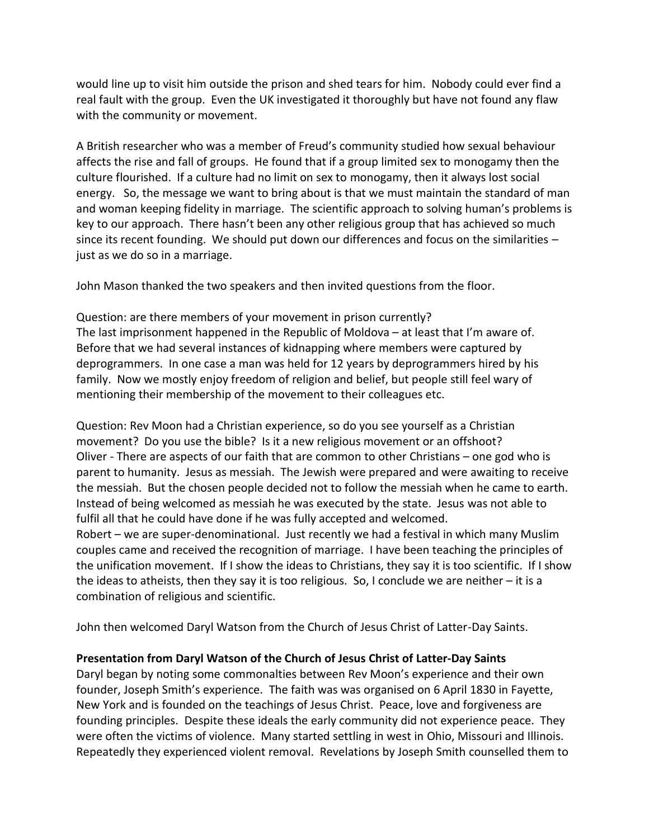would line up to visit him outside the prison and shed tears for him. Nobody could ever find a real fault with the group. Even the UK investigated it thoroughly but have not found any flaw with the community or movement.

A British researcher who was a member of Freud's community studied how sexual behaviour affects the rise and fall of groups. He found that if a group limited sex to monogamy then the culture flourished. If a culture had no limit on sex to monogamy, then it always lost social energy. So, the message we want to bring about is that we must maintain the standard of man and woman keeping fidelity in marriage. The scientific approach to solving human's problems is key to our approach. There hasn't been any other religious group that has achieved so much since its recent founding. We should put down our differences and focus on the similarities – just as we do so in a marriage.

John Mason thanked the two speakers and then invited questions from the floor.

Question: are there members of your movement in prison currently? The last imprisonment happened in the Republic of Moldova – at least that I'm aware of. Before that we had several instances of kidnapping where members were captured by deprogrammers. In one case a man was held for 12 years by deprogrammers hired by his family. Now we mostly enjoy freedom of religion and belief, but people still feel wary of mentioning their membership of the movement to their colleagues etc.

Question: Rev Moon had a Christian experience, so do you see yourself as a Christian movement? Do you use the bible? Is it a new religious movement or an offshoot? Oliver - There are aspects of our faith that are common to other Christians – one god who is parent to humanity. Jesus as messiah. The Jewish were prepared and were awaiting to receive the messiah. But the chosen people decided not to follow the messiah when he came to earth. Instead of being welcomed as messiah he was executed by the state. Jesus was not able to fulfil all that he could have done if he was fully accepted and welcomed. Robert – we are super-denominational. Just recently we had a festival in which many Muslim couples came and received the recognition of marriage. I have been teaching the principles of the unification movement. If I show the ideas to Christians, they say it is too scientific. If I show the ideas to atheists, then they say it is too religious. So, I conclude we are neither – it is a

combination of religious and scientific.

John then welcomed Daryl Watson from the Church of Jesus Christ of Latter-Day Saints.

# **Presentation from Daryl Watson of the Church of Jesus Christ of Latter-Day Saints**

Daryl began by noting some commonalties between Rev Moon's experience and their own founder, Joseph Smith's experience. The faith was was organised on 6 April 1830 in Fayette, New York and is founded on the teachings of Jesus Christ. Peace, love and forgiveness are founding principles. Despite these ideals the early community did not experience peace. They were often the victims of violence. Many started settling in west in Ohio, Missouri and Illinois. Repeatedly they experienced violent removal. Revelations by Joseph Smith counselled them to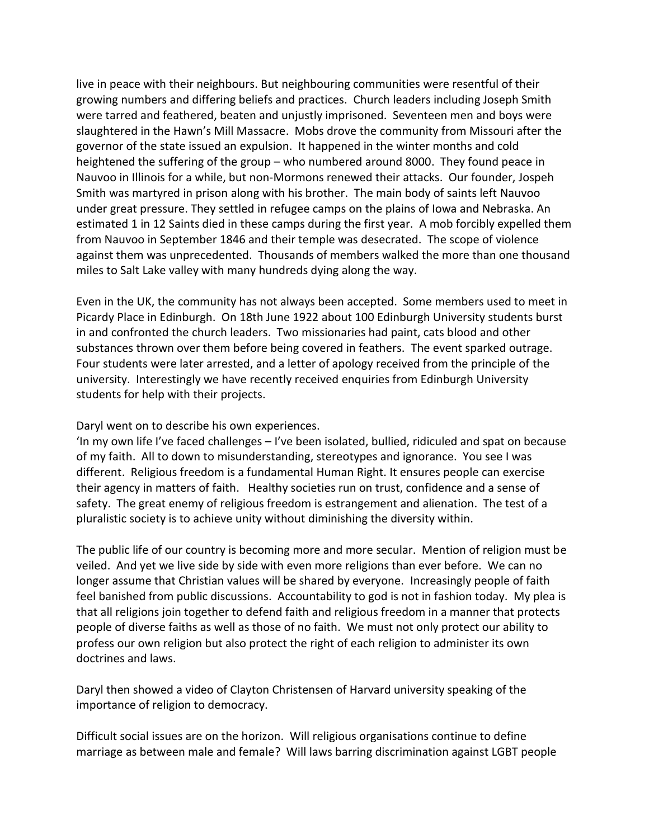live in peace with their neighbours. But neighbouring communities were resentful of their growing numbers and differing beliefs and practices. Church leaders including Joseph Smith were tarred and feathered, beaten and unjustly imprisoned. Seventeen men and boys were slaughtered in the Hawn's Mill Massacre. Mobs drove the community from Missouri after the governor of the state issued an expulsion. It happened in the winter months and cold heightened the suffering of the group – who numbered around 8000. They found peace in Nauvoo in Illinois for a while, but non-Mormons renewed their attacks. Our founder, Jospeh Smith was martyred in prison along with his brother. The main body of saints left Nauvoo under great pressure. They settled in refugee camps on the plains of Iowa and Nebraska. An estimated 1 in 12 Saints died in these camps during the first year. A mob forcibly expelled them from Nauvoo in September 1846 and their temple was desecrated. The scope of violence against them was unprecedented. Thousands of members walked the more than one thousand miles to Salt Lake valley with many hundreds dying along the way.

Even in the UK, the community has not always been accepted. Some members used to meet in Picardy Place in Edinburgh. On 18th June 1922 about 100 Edinburgh University students burst in and confronted the church leaders. Two missionaries had paint, cats blood and other substances thrown over them before being covered in feathers. The event sparked outrage. Four students were later arrested, and a letter of apology received from the principle of the university. Interestingly we have recently received enquiries from Edinburgh University students for help with their projects.

### Daryl went on to describe his own experiences.

'In my own life I've faced challenges – I've been isolated, bullied, ridiculed and spat on because of my faith. All to down to misunderstanding, stereotypes and ignorance. You see I was different. Religious freedom is a fundamental Human Right. It ensures people can exercise their agency in matters of faith. Healthy societies run on trust, confidence and a sense of safety. The great enemy of religious freedom is estrangement and alienation. The test of a pluralistic society is to achieve unity without diminishing the diversity within.

The public life of our country is becoming more and more secular. Mention of religion must be veiled. And yet we live side by side with even more religions than ever before. We can no longer assume that Christian values will be shared by everyone. Increasingly people of faith feel banished from public discussions. Accountability to god is not in fashion today. My plea is that all religions join together to defend faith and religious freedom in a manner that protects people of diverse faiths as well as those of no faith. We must not only protect our ability to profess our own religion but also protect the right of each religion to administer its own doctrines and laws.

Daryl then showed a video of Clayton Christensen of Harvard university speaking of the importance of religion to democracy.

Difficult social issues are on the horizon. Will religious organisations continue to define marriage as between male and female? Will laws barring discrimination against LGBT people